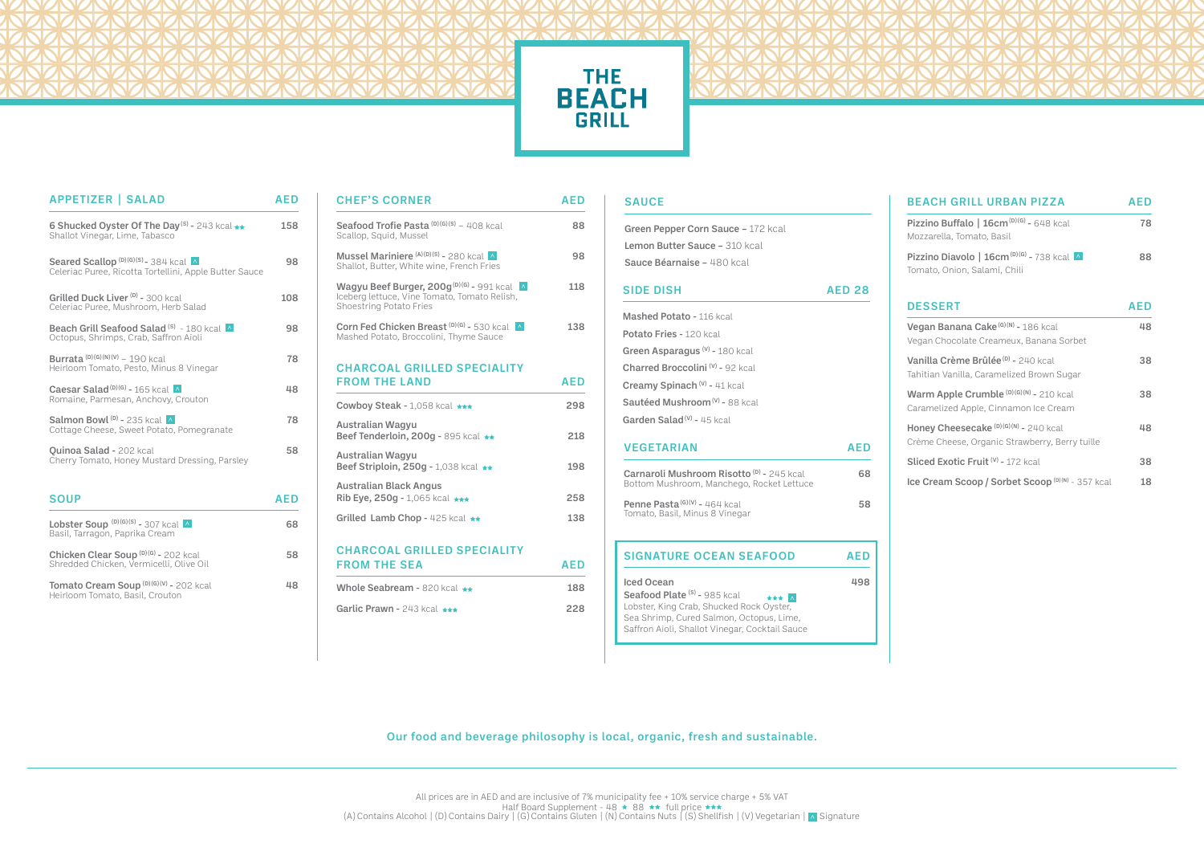

# THE<br>BEACH<br>GRILL

| <b>APPETIZER   SALAD</b>                                                                                | <b>AFD</b> |
|---------------------------------------------------------------------------------------------------------|------------|
| 6 Shucked Oyster Of The Day <sup>(S)</sup> - 243 kcal **<br>Shallot Vinegar, Lime, Tabasco              | 158        |
| Seared Scallop <sup>(D)(G)(S)</sup> -384 kcal<br>Celeriac Puree, Ricotta Tortellini, Apple Butter Sauce | 98         |
| Grilled Duck Liver <sup>(D)</sup> - 300 kcal<br>Celeriac Puree, Mushroom, Herb Salad                    | 108        |
| Beach Grill Seafood Salad <sup>(S)</sup> - 180 kcal<br>Octopus, Shrimps, Crab, Saffron Aioli            | 98         |
| Burrata $(D)(G)(N)(V) - 190$ kcal<br>Heirloom Tomato, Pesto, Minus 8 Vinegar                            | 78         |
| Caesar Salad <sup>(D)(G)</sup> - 165 kcal $\wedge$<br>Romaine, Parmesan, Anchovy, Crouton               | 48         |
| Salmon Bowl $(D)$ - 235 kcal $\wedge$<br>Cottage Cheese, Sweet Potato, Pomegranate                      | 78         |
| <b>Quinoa Salad - 202 kcal</b><br>Cherry Tomato, Honey Mustard Dressing, Parsley                        | 58         |
| <b>SOUP</b>                                                                                             | <b>AED</b> |
| Lobster Soup $(D)(G)(S) = 307$ kcal $\wedge$<br>Basil, Tarragon, Paprika Cream                          | 68         |
| Chicken Clear Soup <sup>(D)(G)</sup> - 202 kcal<br>Shredded Chicken, Vermicelli, Olive Oil              | 58         |
| Tomato Cream Soup (D)(G)(V) - 202 kcal<br>Heirloom Tomato, Basil, Crouton                               | 48         |

| ΞD | <b>CHEF'S CORNER</b>                                                                                                                   | <b>AED</b> |
|----|----------------------------------------------------------------------------------------------------------------------------------------|------------|
| 58 | Seafood Trofie Pasta $(D)(G)(S) = 408$ kcal<br>Scallop, Squid, Mussel                                                                  | 88         |
| 98 | Mussel Mariniere <sup>(A)(D)(S)</sup> - 280 kcal A<br>Shallot, Butter, White wine, French Fries                                        | 98         |
| 80 | Wagyu Beef Burger, 200g <sup>(D)(G)</sup> - 991 kcal<br>Iceberg lettuce, Vine Tomato, Tomato Relish,<br><b>Shoestring Potato Fries</b> | 118        |
| 98 | Corn Fed Chicken Breast (D)(G) - 530 kcal A<br>Mashed Potato, Broccolini, Thyme Sauce                                                  | 138        |
| 78 | <b>CHARCOAL GRILLED SPECIALITY</b>                                                                                                     |            |
| 48 | <b>FROM THE LAND</b>                                                                                                                   | <b>AED</b> |
|    | Cowboy Steak - 1,058 kcal ***                                                                                                          | 298        |
| 78 | <b>Australian Wagyu</b><br>Beef Tenderloin, 200g - 895 kcal **                                                                         | 218        |
| 58 | <b>Australian Wagyu</b><br>Beef Striploin, 250g - 1,038 kcal **                                                                        | 198        |
| Đ  | <b>Australian Black Angus</b><br>Rib Eye, 250g - 1,065 kcal $\star\star\star$                                                          | 258        |
| 68 | Grilled Lamb Chop - 425 kcal $\star\star$                                                                                              | 138        |
| 58 | <b>CHARCOAL GRILLED SPECIALITY</b>                                                                                                     |            |
|    | <b>FROM THE SEA</b>                                                                                                                    | <b>AED</b> |
| 48 | Whole Seabream - 820 kcal $\star\star$                                                                                                 | 188        |
|    | Garlic Prawn - 243 kcal ***                                                                                                            | 228        |

### **SAUCE**

| Green Pepper Corn Sauce - 172 kcal                                                                |               |
|---------------------------------------------------------------------------------------------------|---------------|
| Lemon Butter Sauce - 310 kcal                                                                     |               |
| Sauce Béarnaise - 480 kcal                                                                        |               |
| <b>SIDE DISH</b>                                                                                  | <b>AED 28</b> |
| Mashed Potato - 116 kcal                                                                          |               |
| Potato Fries - 120 kcal                                                                           |               |
| Green Asparagus $(v)$ - 180 kcal                                                                  |               |
| Charred Broccolini <sup>(V)</sup> - 92 kcal                                                       |               |
| Creamy Spinach (v) - 41 kcal                                                                      |               |
| Sautéed Mushroom <sup>(v)</sup> - 88 kcal                                                         |               |
| Garden Salad <sup>(v)</sup> - 45 kcal                                                             |               |
|                                                                                                   |               |
| <b>VEGETARIAN</b>                                                                                 | <b>AED</b>    |
| Carnaroli Mushroom Risotto <sup>(D)</sup> - 245 kcal<br>Bottom Mushroom, Manchego, Rocket Lettuce | 68            |
| Penne Pasta <sup>(G)(V)</sup> - 464 kcal<br>Tomato, Basil, Minus 8 Vinegar                        | 58            |
| <b>SIGNATURE OCEAN SEAFOOD</b>                                                                    | <b>AED</b>    |

Our food and beverage philosophy is local, organic, fresh and sustainable.

| <b>BEACH GRILL URBAN PIZZA</b>                                                                     | <b>AED</b> |  |
|----------------------------------------------------------------------------------------------------|------------|--|
| Pizzino Buffalo   16cm <sup>(D)(G)</sup> - 648 kcal<br>Mozzarella, Tomato, Basil                   | 78         |  |
| Pizzino Diavolo   16cm <sup>(D)(G)</sup> - 738 kcal A<br>Tomato, Onion, Salami, Chili              | 88         |  |
| <b>DESSERT</b>                                                                                     | AED        |  |
| Vegan Banana Cake <sup>(G)(N)</sup> - 186 kcal<br>Vegan Chocolate Creameux, Banana Sorbet          | 48         |  |
| Vanilla Crème Brûlée <sup>(D)</sup> - 240 kcal<br>Tahitian Vanilla, Caramelized Brown Sugar        | 38         |  |
| Warm Apple Crumble (D)(G)(N) - 210 kcal<br>Caramelized Apple, Cinnamon Ice Cream                   | 38         |  |
| Honey Cheesecake <sup>(D)(G)(N)</sup> - 240 kcal<br>Crème Cheese, Organic Strawberry, Berry tuille | 48         |  |
| Sliced Exotic Fruit <sup>(V)</sup> - 172 kcal                                                      | 38         |  |
| Ice Cream Scoop / Sorbet Scoop (D)(N) - 357 kcal                                                   | 18         |  |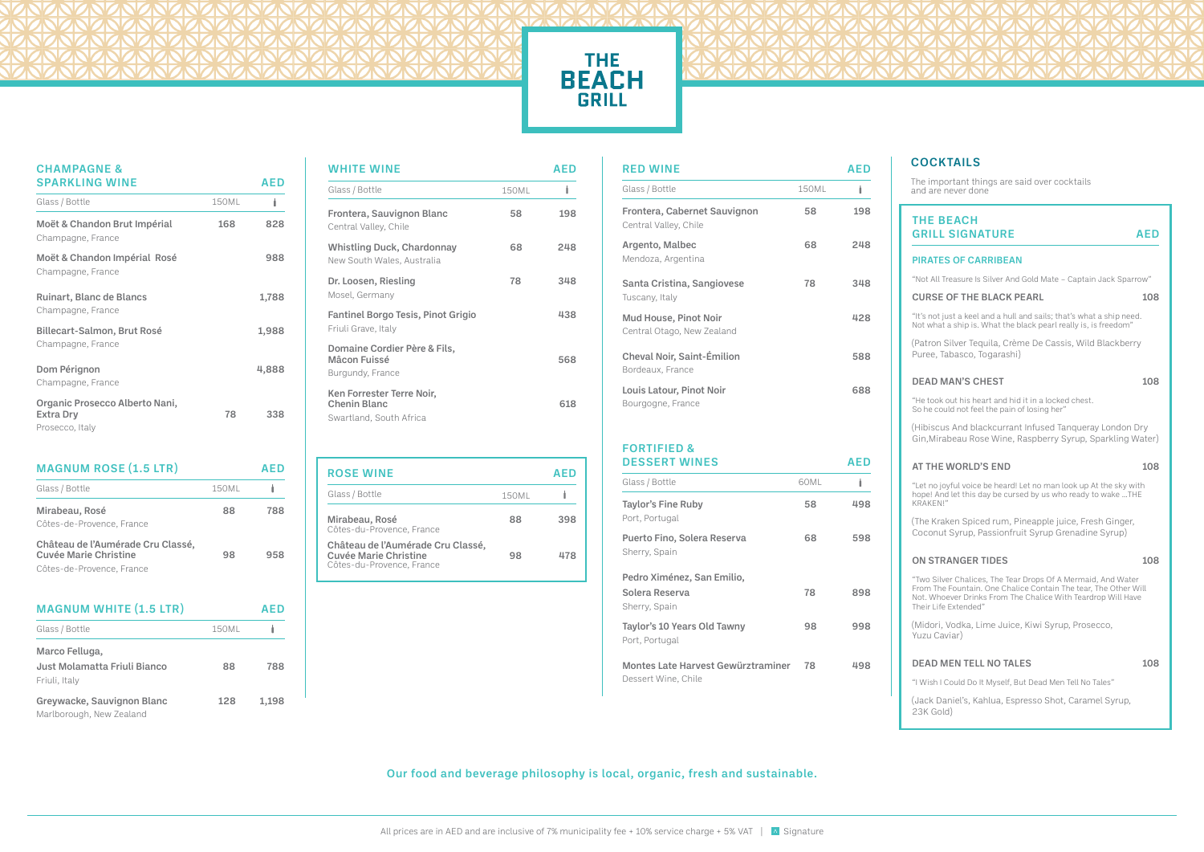Our food and beverage philosophy is local, organic, fresh and sustainable.

| Greywacke, Sauvignon Blanc | 128 | 1,198 |
|----------------------------|-----|-------|
| Marlborough, New Zealand   |     |       |

## **THE BEACH**

| <b>CHAMPAGNE &amp;</b><br><b>SPARKLING WINE</b>                       |              | AED   |
|-----------------------------------------------------------------------|--------------|-------|
| Glass / Bottle                                                        | <b>150ML</b> | Ì     |
| Moët & Chandon Brut Impérial<br>Champagne, France                     | 168          | 828   |
| Moët & Chandon Impérial Rosé<br>Champagne, France                     |              | 988   |
| Ruinart, Blanc de Blancs<br>Champagne, France                         |              | 1,788 |
| Billecart-Salmon, Brut Rosé<br>Champagne, France                      |              | 1,988 |
| Dom Pérignon<br>Champagne, France                                     |              | 4,888 |
| Organic Prosecco Alberto Nani,<br><b>Extra Drv</b><br>Prosecco, Italy | 78           | 338   |

| <b>MAGNUM ROSE (1.5 LTR)</b>                                      |              | AED |
|-------------------------------------------------------------------|--------------|-----|
| Glass / Bottle                                                    | <b>150ML</b> |     |
| Mirabeau, Rosé                                                    | 88           | 788 |
| Côtes-de-Provence, France                                         |              |     |
| Château de l'Aumérade Cru Classé,<br><b>Cuvée Marie Christine</b> | 98           | 958 |
| Côtes-de-Provence, France                                         |              |     |
| <b>MAGNUM WHITE (1.5 LTR)</b>                                     |              | AED |
| Glass / Bottle                                                    | <b>150ML</b> |     |
| Marco Felluga,                                                    |              |     |
| Just Molamatta Friuli Bianco<br>Friuli, Italy                     | 88           | 788 |

| <b>WHITE WINE</b>                                                           |       | AFD |
|-----------------------------------------------------------------------------|-------|-----|
| Glass / Bottle                                                              | 150ML | İ   |
| Frontera, Sauvignon Blanc<br>Central Valley, Chile                          | 58    | 198 |
| <b>Whistling Duck, Chardonnay</b><br>New South Wales, Australia             | 68    | 248 |
| Dr. Loosen, Riesling<br>Mosel, Germany                                      | 78    | 348 |
| <b>Fantinel Borgo Tesis, Pinot Grigio</b><br>Friuli Grave, Italy            |       | 438 |
| Domaine Cordier Père & Fils,<br>Mâcon Fuissé<br>Burgundy, France            |       | 568 |
| Ken Forrester Terre Noir,<br><b>Chenin Blanc</b><br>Swartland, South Africa |       | 618 |

| <b>ROSE WINE</b>                                                                               |              | AFD |
|------------------------------------------------------------------------------------------------|--------------|-----|
| Glass / Bottle                                                                                 | <b>150ML</b> |     |
| Mirabeau, Rosé<br>Côtes-du-Provence, France                                                    | 88           | 398 |
| Château de l'Aumérade Cru Classé,<br><b>Cuvée Marie Christine</b><br>Côtes-du-Provence, France | 98           | 478 |

## THE BEACH GRILL SIGNATURE AED

| <b>RED WINE</b>                                            |              | AFD |
|------------------------------------------------------------|--------------|-----|
| Glass / Bottle                                             | <b>150ML</b> |     |
| Frontera, Cabernet Sauvignon<br>Central Valley, Chile      | 58           | 198 |
| Argento, Malbec<br>Mendoza, Argentina                      | 68           | 248 |
| Santa Cristina, Sangiovese<br>Tuscany, Italy               | 78           | 348 |
| <b>Mud House, Pinot Noir</b><br>Central Otago, New Zealand |              | 428 |
| Cheval Noir, Saint-Émilion<br>Bordeaux, France             |              | 588 |
| <b>Louis Latour, Pinot Noir</b><br>Bourgogne, France       |              | 688 |

| <b>DESSERT WINES</b>                                             |      | AED |
|------------------------------------------------------------------|------|-----|
| Glass / Bottle                                                   | 60ML |     |
| Taylor's Fine Ruby<br>Port, Portugal                             | 58   | 498 |
| Puerto Fino, Solera Reserva<br>Sherry, Spain                     | 68   | 598 |
| Pedro Ximénez, San Emilio,                                       |      |     |
| Solera Reserva<br>Sherry, Spain                                  | 78   | 898 |
| Taylor's 10 Years Old Tawny<br>Port, Portugal                    | 98   | 998 |
| <b>Montes Late Harvest Gewürztraminer</b><br>Dessert Wine, Chile | 78   | 498 |

|  | <b>FORTIFIED &amp;</b> |  |
|--|------------------------|--|
|  |                        |  |

### PIRATES OF CARRIBEAN

"Not All Treasure Is Silver And Gold Mate – Captain Jack Sparrow"

#### CURSE OF THE BLACK PEARL 108

"It's not just a keel and a hull and sails; that's what a ship need. Not what a ship is. What the black pearl really is, is freedom"

(Patron Silver Tequila, Crème De Cassis, Wild Blackberry Puree, Tabasco, Togarashi)

### DEAD MAN'S CHEST 108

"He took out his heart and hid it in a locked chest. So he could not feel the pain of losing her"

(Hibiscus And blackcurrant Infused Tanqueray London Dry Gin,Mirabeau Rose Wine, Raspberry Syrup, Sparkling Water)

### AT THE WORLD'S END 108

"Let no joyful voice be heard! Let no man look up At the sky with hope! And let this day be cursed by us who ready to wake …THE KRAKEN!"

(The Kraken Spiced rum, Pineapple juice, Fresh Ginger, Coconut Syrup, Passionfruit Syrup Grenadine Syrup)

### ON STRANGER TIDES 108

"Two Silver Chalices, The Tear Drops Of A Mermaid, And Water From The Fountain. One Chalice Contain The tear, The Other Will Not. Whoever Drinks From The Chalice With Teardrop Will Have Their Life Extended"

(Midori, Vodka, Lime Juice, Kiwi Syrup, Prosecco, Yuzu Caviar)

### DEAD MEN TELL NO TALES 108

"I Wish I Could Do It Myself, But Dead Men Tell No Tales"

(Jack Daniel's, Kahlua, Espresso Shot, Caramel Syrup, 23K Gold)

## COCKTAILS

The important things are said over cocktails and are never done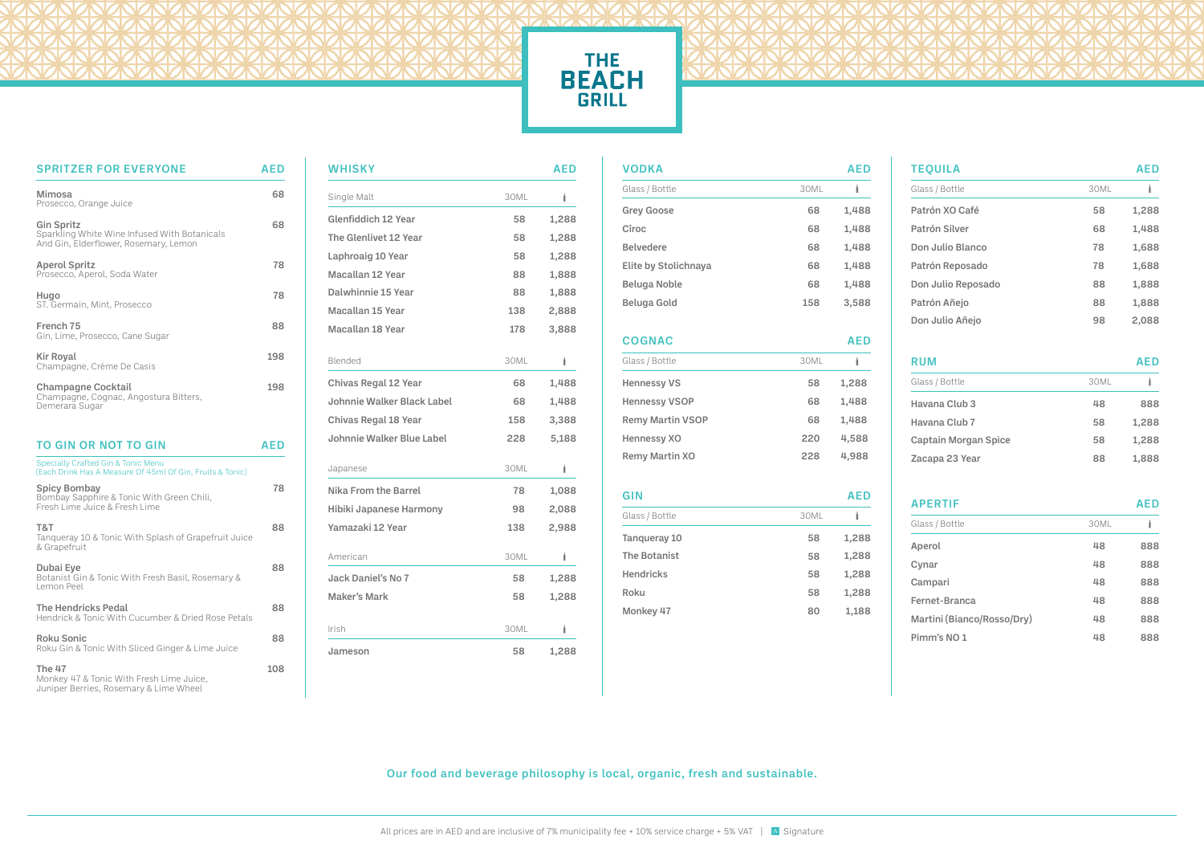## THE<br>BEACH<br>GRILL

Our food and beverage philosophy is local, organic, fresh and sustainable.



| <b>SPRITZER FOR EVERYONE</b>                                                                               | <b>AED</b> |
|------------------------------------------------------------------------------------------------------------|------------|
| <b>Mimosa</b><br>Prosecco, Orange Juice                                                                    | 68         |
| <b>Gin Spritz</b><br>Sparkling White Wine Infused With Botanicals<br>And Gin, Elderflower, Rosemary, Lemon | 68         |
| <b>Aperol Spritz</b><br>Prosecco, Aperol, Soda Water                                                       | 78         |
| Hugo<br>ST. Germain, Mint, Prosecco                                                                        | 78         |
| French 75<br>Gin, Lime, Prosecco, Cane Sugar                                                               | 88         |
| Kir Royal<br>Champagne, Crème De Casis                                                                     | 198        |
| <b>Champagne Cocktail</b><br>Champagne, Cognac, Angostura Bitters,<br>Demerara Sugar                       | 198        |
| <b>TO GIN OR NOT TO GIN</b>                                                                                | <b>AED</b> |
| <b>Specially Crafted Gin &amp; Tonic Menu</b><br>(Each Drink Has A Measure Of 45ml Of Gin, Fruits & Tonic) |            |
| <b>Spicy Bombay</b><br>Bombay Sapphire & Tonic With Green Chili,<br>Fresh Lime Juice & Fresh Lime          | 78         |
| T&T<br>Tanqueray 10 & Tonic With Splash of Grapefruit Juice<br>& Grapefruit                                | 88         |
| Dubai Eye<br>Botanist Gin & Tonic With Fresh Basil, Rosemary &<br>Lemon Peel                               | 88         |
| The Hendricks Pedal<br>Hendrick & Tonic With Cucumber & Dried Rose Petals                                  | 88         |
| <b>Roku Sonic</b><br>Roku Gin & Tonic With Sliced Ginger & Lime Juice                                      | 88         |
| The 47                                                                                                     | 108        |

| $1115 + 1$                               |  |
|------------------------------------------|--|
| Monkey 47 & Tonic With Fresh Lime Juice, |  |
| Juniper Berries, Rosemary & Lime Wheel   |  |

| <b>WHISKY</b>                     |      | <b>AED</b> |
|-----------------------------------|------|------------|
| Single Malt                       | 30ML | t          |
| <b>Glenfiddich 12 Year</b>        | 58   | 1,288      |
| The Glenlivet 12 Year             | 58   | 1,288      |
| Laphroaig 10 Year                 | 58   | 1,288      |
| Macallan 12 Year                  | 88   | 1,888      |
| Dalwhinnie 15 Year                | 88   | 1,888      |
| Macallan 15 Year                  | 138  | 2,888      |
| Macallan 18 Year                  | 178  | 3,888      |
| Blended                           | 30ML | Ì          |
| <b>Chivas Regal 12 Year</b>       | 68   | 1,488      |
| <b>Johnnie Walker Black Label</b> | 68   | 1,488      |
| <b>Chivas Regal 18 Year</b>       | 158  | 3,388      |
| Johnnie Walker Blue Label         | 228  | 5,188      |
| Japanese                          | 30ML | Ì.         |
| Nika From the Barrel              | 78   | 1,088      |
| Hibiki Japanese Harmony           | 98   | 2,088      |
| Yamazaki 12 Year                  | 138  | 2,988      |
| American                          | 30ML | Ì          |
| <b>Jack Daniel's No 7</b>         | 58   | 1,288      |
| <b>Maker's Mark</b>               | 58   | 1,288      |
| Irish                             | 30ML | Ì.         |
| Jameson                           | 58   | 1,288      |

| <b>VODKA</b>            |      | <b>AED</b> |
|-------------------------|------|------------|
| Glass / Bottle          | 30ML | İ          |
| <b>Grey Goose</b>       | 68   | 1,488      |
| Cîroc                   | 68   | 1,488      |
| <b>Belvedere</b>        | 68   | 1,488      |
| Elite by Stolichnaya    | 68   | 1,488      |
| <b>Beluga Noble</b>     | 68   | 1,488      |
| <b>Beluga Gold</b>      | 158  | 3,588      |
| <b>COGNAC</b>           |      | <b>AED</b> |
| Glass / Bottle          | 30ML | Ì          |
| <b>Hennessy VS</b>      | 58   | 1,288      |
| <b>Hennessy VSOP</b>    | 68   | 1,488      |
| <b>Remy Martin VSOP</b> | 68   | 1,488      |
| <b>Hennessy XO</b>      | 220  | 4,588      |
| <b>Remy Martin XO</b>   | 228  | 4,988      |
| GIN                     |      | <b>AED</b> |
| Glass / Bottle          | 30ML | Ô          |
| Tanqueray 10            | 58   | 1,288      |
| <b>The Botanist</b>     | 58   | 1,288      |
| <b>Hendricks</b>        | 58   | 1,288      |
| Roku                    | 58   | 1,288      |
| Monkey 47               | 80   | 1,188      |
|                         |      |            |

## APERTIF AED

| <b>TEQUILA</b>     |      | <b>AED</b> |
|--------------------|------|------------|
| Glass / Bottle     | 30ML | Î          |
| Patrón XO Café     | 58   | 1,288      |
| Patrón Silver      | 68   | 1,488      |
| Don Julio Blanco   | 78   | 1,688      |
| Patrón Reposado    | 78   | 1,688      |
| Don Julio Reposado | 88   | 1,888      |
| Patrón Añejo       | 88   | 1,888      |
| Don Julio Añejo    | 98   | 2,088      |

| ٠<br>$\sim$ |  |
|-------------|--|
|             |  |

## **AED**

| Glass / Bottle       | 30ML |       |
|----------------------|------|-------|
| Havana Club 3        | 48   | 888   |
| Havana Club 7        | 58   | 1,288 |
| Captain Morgan Spice | 58   | 1,288 |
| Zacapa 23 Year       | 88   | 1,888 |

| Glass / Bottle             | 30ML |     |
|----------------------------|------|-----|
| Aperol                     | 48   | 888 |
| Cynar                      | 48   | 888 |
| Campari                    | 48   | 888 |
| Fernet-Branca              | 48   | 888 |
| Martini (Bianco/Rosso/Dry) | 48   | 888 |
| Pimm's NO <sub>1</sub>     | 48   | 888 |